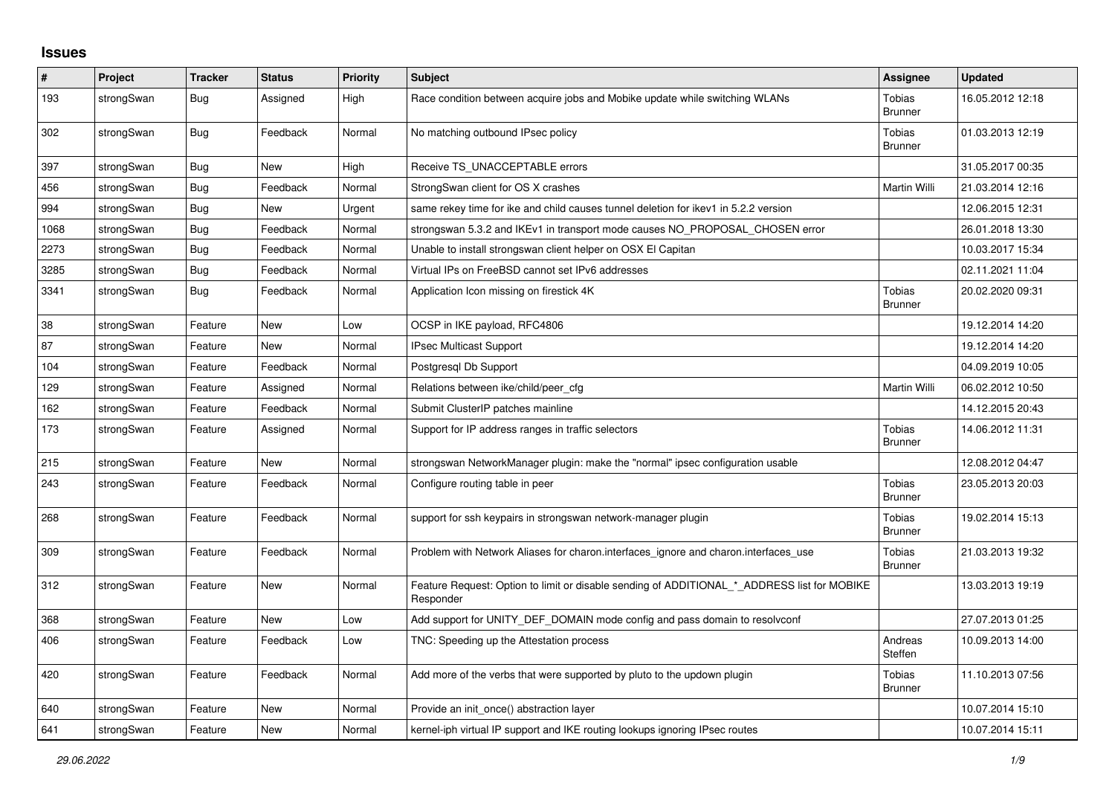## **Issues**

| #    | Project    | <b>Tracker</b> | <b>Status</b> | <b>Priority</b> | <b>Subject</b>                                                                                           | Assignee                        | <b>Updated</b>   |
|------|------------|----------------|---------------|-----------------|----------------------------------------------------------------------------------------------------------|---------------------------------|------------------|
| 193  | strongSwan | <b>Bug</b>     | Assigned      | High            | Race condition between acquire jobs and Mobike update while switching WLANs                              | Tobias<br><b>Brunner</b>        | 16.05.2012 12:18 |
| 302  | strongSwan | <b>Bug</b>     | Feedback      | Normal          | No matching outbound IPsec policy                                                                        | Tobias<br><b>Brunner</b>        | 01.03.2013 12:19 |
| 397  | strongSwan | Bug            | <b>New</b>    | High            | Receive TS_UNACCEPTABLE errors                                                                           |                                 | 31.05.2017 00:35 |
| 456  | strongSwan | <b>Bug</b>     | Feedback      | Normal          | StrongSwan client for OS X crashes                                                                       | Martin Willi                    | 21.03.2014 12:16 |
| 994  | strongSwan | Bug            | New           | Urgent          | same rekey time for ike and child causes tunnel deletion for ikey1 in 5.2.2 version                      |                                 | 12.06.2015 12:31 |
| 1068 | strongSwan | <b>Bug</b>     | Feedback      | Normal          | strongswan 5.3.2 and IKEv1 in transport mode causes NO_PROPOSAL_CHOSEN error                             |                                 | 26.01.2018 13:30 |
| 2273 | strongSwan | <b>Bug</b>     | Feedback      | Normal          | Unable to install strongswan client helper on OSX El Capitan                                             |                                 | 10.03.2017 15:34 |
| 3285 | strongSwan | Bug            | Feedback      | Normal          | Virtual IPs on FreeBSD cannot set IPv6 addresses                                                         |                                 | 02.11.2021 11:04 |
| 3341 | strongSwan | Bug            | Feedback      | Normal          | Application Icon missing on firestick 4K                                                                 | Tobias<br><b>Brunner</b>        | 20.02.2020 09:31 |
| 38   | strongSwan | Feature        | <b>New</b>    | Low             | OCSP in IKE payload, RFC4806                                                                             |                                 | 19.12.2014 14:20 |
| 87   | strongSwan | Feature        | New           | Normal          | <b>IPsec Multicast Support</b>                                                                           |                                 | 19.12.2014 14:20 |
| 104  | strongSwan | Feature        | Feedback      | Normal          | Postgresgl Db Support                                                                                    |                                 | 04.09.2019 10:05 |
| 129  | strongSwan | Feature        | Assigned      | Normal          | Relations between ike/child/peer cfg                                                                     | Martin Willi                    | 06.02.2012 10:50 |
| 162  | strongSwan | Feature        | Feedback      | Normal          | Submit ClusterIP patches mainline                                                                        |                                 | 14.12.2015 20:43 |
| 173  | strongSwan | Feature        | Assigned      | Normal          | Support for IP address ranges in traffic selectors                                                       | Tobias<br>Brunner               | 14.06.2012 11:31 |
| 215  | strongSwan | Feature        | New           | Normal          | strongswan NetworkManager plugin: make the "normal" ipsec configuration usable                           |                                 | 12.08.2012 04:47 |
| 243  | strongSwan | Feature        | Feedback      | Normal          | Configure routing table in peer                                                                          | <b>Tobias</b><br><b>Brunner</b> | 23.05.2013 20:03 |
| 268  | strongSwan | Feature        | Feedback      | Normal          | support for ssh keypairs in strongswan network-manager plugin                                            | Tobias<br>Brunner               | 19.02.2014 15:13 |
| 309  | strongSwan | Feature        | Feedback      | Normal          | Problem with Network Aliases for charon.interfaces_ignore and charon.interfaces_use                      | Tobias<br><b>Brunner</b>        | 21.03.2013 19:32 |
| 312  | strongSwan | Feature        | New           | Normal          | Feature Request: Option to limit or disable sending of ADDITIONAL * ADDRESS list for MOBIKE<br>Responder |                                 | 13.03.2013 19:19 |
| 368  | strongSwan | Feature        | New           | Low             | Add support for UNITY DEF DOMAIN mode config and pass domain to resolveonf                               |                                 | 27.07.2013 01:25 |
| 406  | strongSwan | Feature        | Feedback      | Low             | TNC: Speeding up the Attestation process                                                                 | Andreas<br>Steffen              | 10.09.2013 14:00 |
| 420  | strongSwan | Feature        | Feedback      | Normal          | Add more of the verbs that were supported by pluto to the updown plugin                                  | Tobias<br><b>Brunner</b>        | 11.10.2013 07:56 |
| 640  | strongSwan | Feature        | <b>New</b>    | Normal          | Provide an init once() abstraction layer                                                                 |                                 | 10.07.2014 15:10 |
| 641  | strongSwan | Feature        | <b>New</b>    | Normal          | kernel-iph virtual IP support and IKE routing lookups ignoring IPsec routes                              |                                 | 10.07.2014 15:11 |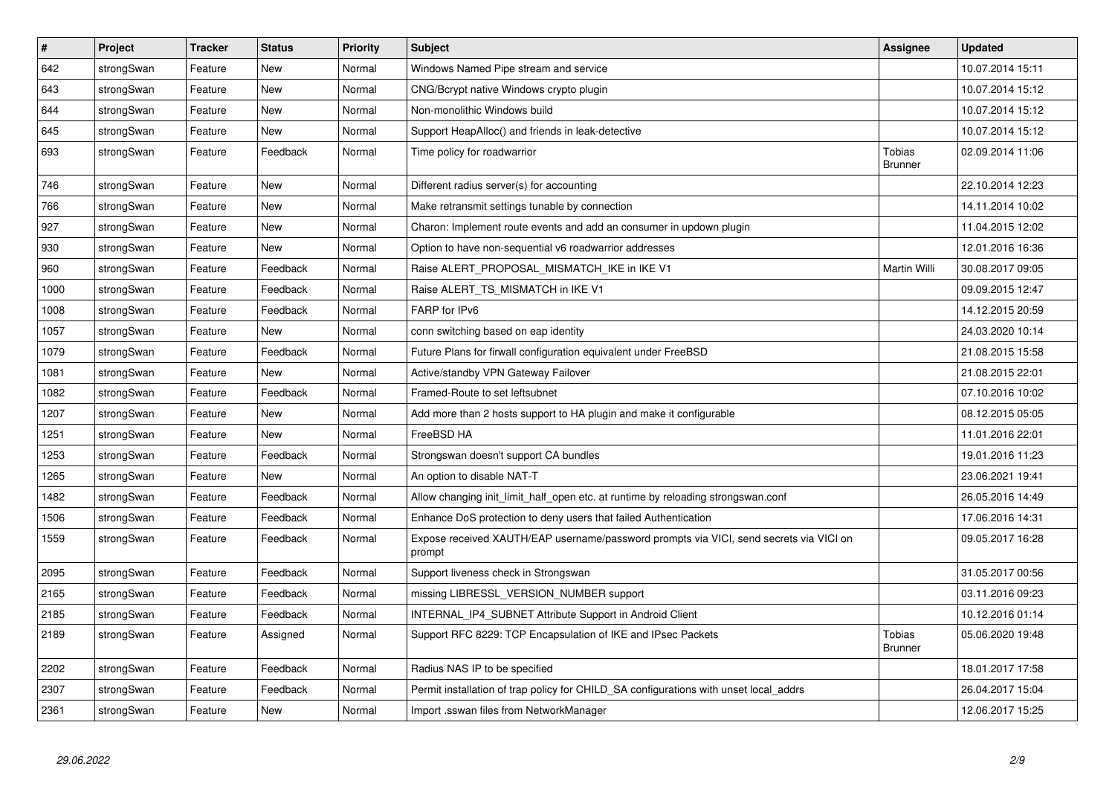| $\sharp$ | Project    | <b>Tracker</b> | <b>Status</b> | <b>Priority</b> | <b>Subject</b>                                                                                   | Assignee                        | <b>Updated</b>   |
|----------|------------|----------------|---------------|-----------------|--------------------------------------------------------------------------------------------------|---------------------------------|------------------|
| 642      | strongSwan | Feature        | <b>New</b>    | Normal          | Windows Named Pipe stream and service                                                            |                                 | 10.07.2014 15:11 |
| 643      | strongSwan | Feature        | <b>New</b>    | Normal          | CNG/Bcrypt native Windows crypto plugin                                                          |                                 | 10.07.2014 15:12 |
| 644      | strongSwan | Feature        | <b>New</b>    | Normal          | Non-monolithic Windows build                                                                     |                                 | 10.07.2014 15:12 |
| 645      | strongSwan | Feature        | <b>New</b>    | Normal          | Support HeapAlloc() and friends in leak-detective                                                |                                 | 10.07.2014 15:12 |
| 693      | strongSwan | Feature        | Feedback      | Normal          | Time policy for roadwarrior                                                                      | <b>Tobias</b><br><b>Brunner</b> | 02.09.2014 11:06 |
| 746      | strongSwan | Feature        | <b>New</b>    | Normal          | Different radius server(s) for accounting                                                        |                                 | 22.10.2014 12:23 |
| 766      | strongSwan | Feature        | <b>New</b>    | Normal          | Make retransmit settings tunable by connection                                                   |                                 | 14.11.2014 10:02 |
| 927      | strongSwan | Feature        | New           | Normal          | Charon: Implement route events and add an consumer in updown plugin                              |                                 | 11.04.2015 12:02 |
| 930      | strongSwan | Feature        | <b>New</b>    | Normal          | Option to have non-sequential v6 roadwarrior addresses                                           |                                 | 12.01.2016 16:36 |
| 960      | strongSwan | Feature        | Feedback      | Normal          | Raise ALERT PROPOSAL MISMATCH IKE in IKE V1                                                      | <b>Martin Willi</b>             | 30.08.2017 09:05 |
| 1000     | strongSwan | Feature        | Feedback      | Normal          | Raise ALERT_TS_MISMATCH in IKE V1                                                                |                                 | 09.09.2015 12:47 |
| 1008     | strongSwan | Feature        | Feedback      | Normal          | FARP for IPv6                                                                                    |                                 | 14.12.2015 20:59 |
| 1057     | strongSwan | Feature        | New           | Normal          | conn switching based on eap identity                                                             |                                 | 24.03.2020 10:14 |
| 1079     | strongSwan | Feature        | Feedback      | Normal          | Future Plans for firwall configuration equivalent under FreeBSD                                  |                                 | 21.08.2015 15:58 |
| 1081     | strongSwan | Feature        | <b>New</b>    | Normal          | Active/standby VPN Gateway Failover                                                              |                                 | 21.08.2015 22:01 |
| 1082     | strongSwan | Feature        | Feedback      | Normal          | Framed-Route to set leftsubnet                                                                   |                                 | 07.10.2016 10:02 |
| 1207     | strongSwan | Feature        | <b>New</b>    | Normal          | Add more than 2 hosts support to HA plugin and make it configurable                              |                                 | 08.12.2015 05:05 |
| 1251     | strongSwan | Feature        | <b>New</b>    | Normal          | FreeBSD HA                                                                                       |                                 | 11.01.2016 22:01 |
| 1253     | strongSwan | Feature        | Feedback      | Normal          | Strongswan doesn't support CA bundles                                                            |                                 | 19.01.2016 11:23 |
| 1265     | strongSwan | Feature        | <b>New</b>    | Normal          | An option to disable NAT-T                                                                       |                                 | 23.06.2021 19:41 |
| 1482     | strongSwan | Feature        | Feedback      | Normal          | Allow changing init_limit_half_open etc. at runtime by reloading strongswan.conf                 |                                 | 26.05.2016 14:49 |
| 1506     | strongSwan | Feature        | Feedback      | Normal          | Enhance DoS protection to deny users that failed Authentication                                  |                                 | 17.06.2016 14:31 |
| 1559     | strongSwan | Feature        | Feedback      | Normal          | Expose received XAUTH/EAP username/password prompts via VICI, send secrets via VICI on<br>prompt |                                 | 09.05.2017 16:28 |
| 2095     | strongSwan | Feature        | Feedback      | Normal          | Support liveness check in Strongswan                                                             |                                 | 31.05.2017 00:56 |
| 2165     | strongSwan | Feature        | Feedback      | Normal          | missing LIBRESSL_VERSION_NUMBER support                                                          |                                 | 03.11.2016 09:23 |
| 2185     | strongSwan | Feature        | Feedback      | Normal          | INTERNAL_IP4_SUBNET Attribute Support in Android Client                                          |                                 | 10.12.2016 01:14 |
| 2189     | strongSwan | Feature        | Assigned      | Normal          | Support RFC 8229: TCP Encapsulation of IKE and IPsec Packets                                     | Tobias<br><b>Brunner</b>        | 05.06.2020 19:48 |
| 2202     | strongSwan | Feature        | Feedback      | Normal          | Radius NAS IP to be specified                                                                    |                                 | 18.01.2017 17:58 |
| 2307     | strongSwan | Feature        | Feedback      | Normal          | Permit installation of trap policy for CHILD_SA configurations with unset local_addrs            |                                 | 26.04.2017 15:04 |
| 2361     | strongSwan | Feature        | New           | Normal          | Import .sswan files from NetworkManager                                                          |                                 | 12.06.2017 15:25 |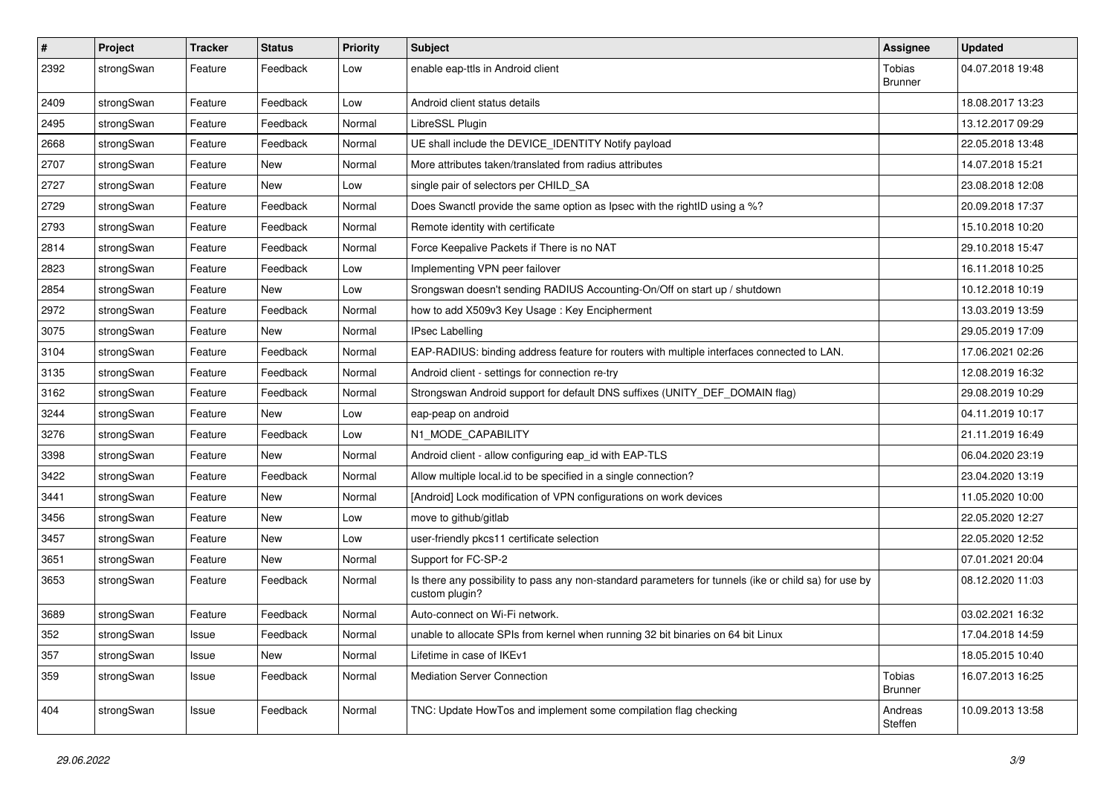| $\sharp$ | Project    | <b>Tracker</b> | <b>Status</b> | <b>Priority</b> | <b>Subject</b>                                                                                                          | <b>Assignee</b>          | <b>Updated</b>   |
|----------|------------|----------------|---------------|-----------------|-------------------------------------------------------------------------------------------------------------------------|--------------------------|------------------|
| 2392     | strongSwan | Feature        | Feedback      | Low             | enable eap-ttls in Android client                                                                                       | Tobias<br><b>Brunner</b> | 04.07.2018 19:48 |
| 2409     | strongSwan | Feature        | Feedback      | Low             | Android client status details                                                                                           |                          | 18.08.2017 13:23 |
| 2495     | strongSwan | Feature        | Feedback      | Normal          | LibreSSL Plugin                                                                                                         |                          | 13.12.2017 09:29 |
| 2668     | strongSwan | Feature        | Feedback      | Normal          | UE shall include the DEVICE_IDENTITY Notify payload                                                                     |                          | 22.05.2018 13:48 |
| 2707     | strongSwan | Feature        | New           | Normal          | More attributes taken/translated from radius attributes                                                                 |                          | 14.07.2018 15:21 |
| 2727     | strongSwan | Feature        | <b>New</b>    | Low             | single pair of selectors per CHILD_SA                                                                                   |                          | 23.08.2018 12:08 |
| 2729     | strongSwan | Feature        | Feedback      | Normal          | Does Swanctl provide the same option as Ipsec with the rightID using a %?                                               |                          | 20.09.2018 17:37 |
| 2793     | strongSwan | Feature        | Feedback      | Normal          | Remote identity with certificate                                                                                        |                          | 15.10.2018 10:20 |
| 2814     | strongSwan | Feature        | Feedback      | Normal          | Force Keepalive Packets if There is no NAT                                                                              |                          | 29.10.2018 15:47 |
| 2823     | strongSwan | Feature        | Feedback      | Low             | Implementing VPN peer failover                                                                                          |                          | 16.11.2018 10:25 |
| 2854     | strongSwan | Feature        | New           | Low             | Srongswan doesn't sending RADIUS Accounting-On/Off on start up / shutdown                                               |                          | 10.12.2018 10:19 |
| 2972     | strongSwan | Feature        | Feedback      | Normal          | how to add X509v3 Key Usage: Key Encipherment                                                                           |                          | 13.03.2019 13:59 |
| 3075     | strongSwan | Feature        | New           | Normal          | <b>IPsec Labelling</b>                                                                                                  |                          | 29.05.2019 17:09 |
| 3104     | strongSwan | Feature        | Feedback      | Normal          | EAP-RADIUS: binding address feature for routers with multiple interfaces connected to LAN.                              |                          | 17.06.2021 02:26 |
| 3135     | strongSwan | Feature        | Feedback      | Normal          | Android client - settings for connection re-try                                                                         |                          | 12.08.2019 16:32 |
| 3162     | strongSwan | Feature        | Feedback      | Normal          | Strongswan Android support for default DNS suffixes (UNITY_DEF_DOMAIN flag)                                             |                          | 29.08.2019 10:29 |
| 3244     | strongSwan | Feature        | New           | Low             | eap-peap on android                                                                                                     |                          | 04.11.2019 10:17 |
| 3276     | strongSwan | Feature        | Feedback      | Low             | N1_MODE_CAPABILITY                                                                                                      |                          | 21.11.2019 16:49 |
| 3398     | strongSwan | Feature        | <b>New</b>    | Normal          | Android client - allow configuring eap_id with EAP-TLS                                                                  |                          | 06.04.2020 23:19 |
| 3422     | strongSwan | Feature        | Feedback      | Normal          | Allow multiple local.id to be specified in a single connection?                                                         |                          | 23.04.2020 13:19 |
| 3441     | strongSwan | Feature        | New           | Normal          | [Android] Lock modification of VPN configurations on work devices                                                       |                          | 11.05.2020 10:00 |
| 3456     | strongSwan | Feature        | <b>New</b>    | Low             | move to github/gitlab                                                                                                   |                          | 22.05.2020 12:27 |
| 3457     | strongSwan | Feature        | New           | Low             | user-friendly pkcs11 certificate selection                                                                              |                          | 22.05.2020 12:52 |
| 3651     | strongSwan | Feature        | New           | Normal          | Support for FC-SP-2                                                                                                     |                          | 07.01.2021 20:04 |
| 3653     | strongSwan | Feature        | Feedback      | Normal          | Is there any possibility to pass any non-standard parameters for tunnels (ike or child sa) for use by<br>custom plugin? |                          | 08.12.2020 11:03 |
| 3689     | strongSwan | Feature        | Feedback      | Normal          | Auto-connect on Wi-Fi network.                                                                                          |                          | 03.02.2021 16:32 |
| 352      | strongSwan | Issue          | Feedback      | Normal          | unable to allocate SPIs from kernel when running 32 bit binaries on 64 bit Linux                                        |                          | 17.04.2018 14:59 |
| 357      | strongSwan | Issue          | New           | Normal          | Lifetime in case of IKEv1                                                                                               |                          | 18.05.2015 10:40 |
| 359      | strongSwan | Issue          | Feedback      | Normal          | Mediation Server Connection                                                                                             | Tobias<br><b>Brunner</b> | 16.07.2013 16:25 |
| 404      | strongSwan | Issue          | Feedback      | Normal          | TNC: Update HowTos and implement some compilation flag checking                                                         | Andreas<br>Steffen       | 10.09.2013 13:58 |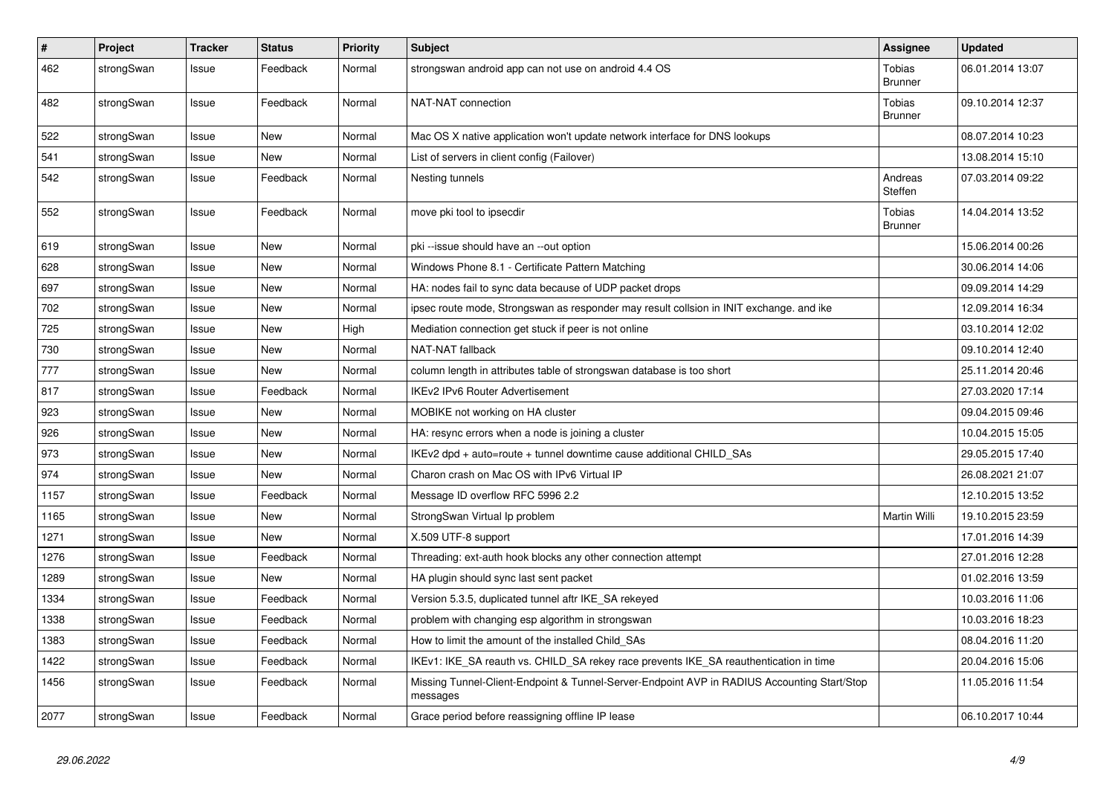| $\pmb{\#}$ | Project    | <b>Tracker</b> | <b>Status</b> | <b>Priority</b> | <b>Subject</b>                                                                                          | <b>Assignee</b>                 | <b>Updated</b>   |
|------------|------------|----------------|---------------|-----------------|---------------------------------------------------------------------------------------------------------|---------------------------------|------------------|
| 462        | strongSwan | Issue          | Feedback      | Normal          | strongswan android app can not use on android 4.4 OS                                                    | Tobias<br><b>Brunner</b>        | 06.01.2014 13:07 |
| 482        | strongSwan | Issue          | Feedback      | Normal          | NAT-NAT connection                                                                                      | Tobias<br><b>Brunner</b>        | 09.10.2014 12:37 |
| 522        | strongSwan | Issue          | <b>New</b>    | Normal          | Mac OS X native application won't update network interface for DNS lookups                              |                                 | 08.07.2014 10:23 |
| 541        | strongSwan | Issue          | New           | Normal          | List of servers in client config (Failover)                                                             |                                 | 13.08.2014 15:10 |
| 542        | strongSwan | Issue          | Feedback      | Normal          | Nesting tunnels                                                                                         | Andreas<br>Steffen              | 07.03.2014 09:22 |
| 552        | strongSwan | Issue          | Feedback      | Normal          | move pki tool to ipsecdir                                                                               | <b>Tobias</b><br><b>Brunner</b> | 14.04.2014 13:52 |
| 619        | strongSwan | Issue          | New           | Normal          | pki --issue should have an --out option                                                                 |                                 | 15.06.2014 00:26 |
| 628        | strongSwan | Issue          | New           | Normal          | Windows Phone 8.1 - Certificate Pattern Matching                                                        |                                 | 30.06.2014 14:06 |
| 697        | strongSwan | Issue          | New           | Normal          | HA: nodes fail to sync data because of UDP packet drops                                                 |                                 | 09.09.2014 14:29 |
| 702        | strongSwan | Issue          | New           | Normal          | ipsec route mode, Strongswan as responder may result collsion in INIT exchange. and ike                 |                                 | 12.09.2014 16:34 |
| 725        | strongSwan | Issue          | New           | High            | Mediation connection get stuck if peer is not online                                                    |                                 | 03.10.2014 12:02 |
| 730        | strongSwan | Issue          | New           | Normal          | NAT-NAT fallback                                                                                        |                                 | 09.10.2014 12:40 |
| 777        | strongSwan | Issue          | New           | Normal          | column length in attributes table of strongswan database is too short                                   |                                 | 25.11.2014 20:46 |
| 817        | strongSwan | Issue          | Feedback      | Normal          | <b>IKEv2 IPv6 Router Advertisement</b>                                                                  |                                 | 27.03.2020 17:14 |
| 923        | strongSwan | Issue          | New           | Normal          | MOBIKE not working on HA cluster                                                                        |                                 | 09.04.2015 09:46 |
| 926        | strongSwan | Issue          | New           | Normal          | HA: resync errors when a node is joining a cluster                                                      |                                 | 10.04.2015 15:05 |
| 973        | strongSwan | Issue          | New           | Normal          | IKEv2 dpd + auto=route + tunnel downtime cause additional CHILD SAs                                     |                                 | 29.05.2015 17:40 |
| 974        | strongSwan | Issue          | New           | Normal          | Charon crash on Mac OS with IPv6 Virtual IP                                                             |                                 | 26.08.2021 21:07 |
| 1157       | strongSwan | Issue          | Feedback      | Normal          | Message ID overflow RFC 5996 2.2                                                                        |                                 | 12.10.2015 13:52 |
| 1165       | strongSwan | Issue          | New           | Normal          | StrongSwan Virtual Ip problem                                                                           | Martin Willi                    | 19.10.2015 23:59 |
| 1271       | strongSwan | Issue          | New           | Normal          | X.509 UTF-8 support                                                                                     |                                 | 17.01.2016 14:39 |
| 1276       | strongSwan | Issue          | Feedback      | Normal          | Threading: ext-auth hook blocks any other connection attempt                                            |                                 | 27.01.2016 12:28 |
| 1289       | strongSwan | Issue          | New           | Normal          | HA plugin should sync last sent packet                                                                  |                                 | 01.02.2016 13:59 |
| 1334       | strongSwan | Issue          | Feedback      | Normal          | Version 5.3.5, duplicated tunnel aftr IKE_SA rekeyed                                                    |                                 | 10.03.2016 11:06 |
| 1338       | strongSwan | Issue          | Feedback      | Normal          | problem with changing esp algorithm in strongswan                                                       |                                 | 10.03.2016 18:23 |
| 1383       | strongSwan | Issue          | Feedback      | Normal          | How to limit the amount of the installed Child SAs                                                      |                                 | 08.04.2016 11:20 |
| 1422       | strongSwan | Issue          | Feedback      | Normal          | IKEv1: IKE_SA reauth vs. CHILD_SA rekey race prevents IKE_SA reauthentication in time                   |                                 | 20.04.2016 15:06 |
| 1456       | strongSwan | Issue          | Feedback      | Normal          | Missing Tunnel-Client-Endpoint & Tunnel-Server-Endpoint AVP in RADIUS Accounting Start/Stop<br>messages |                                 | 11.05.2016 11:54 |
| 2077       | strongSwan | Issue          | Feedback      | Normal          | Grace period before reassigning offline IP lease                                                        |                                 | 06.10.2017 10:44 |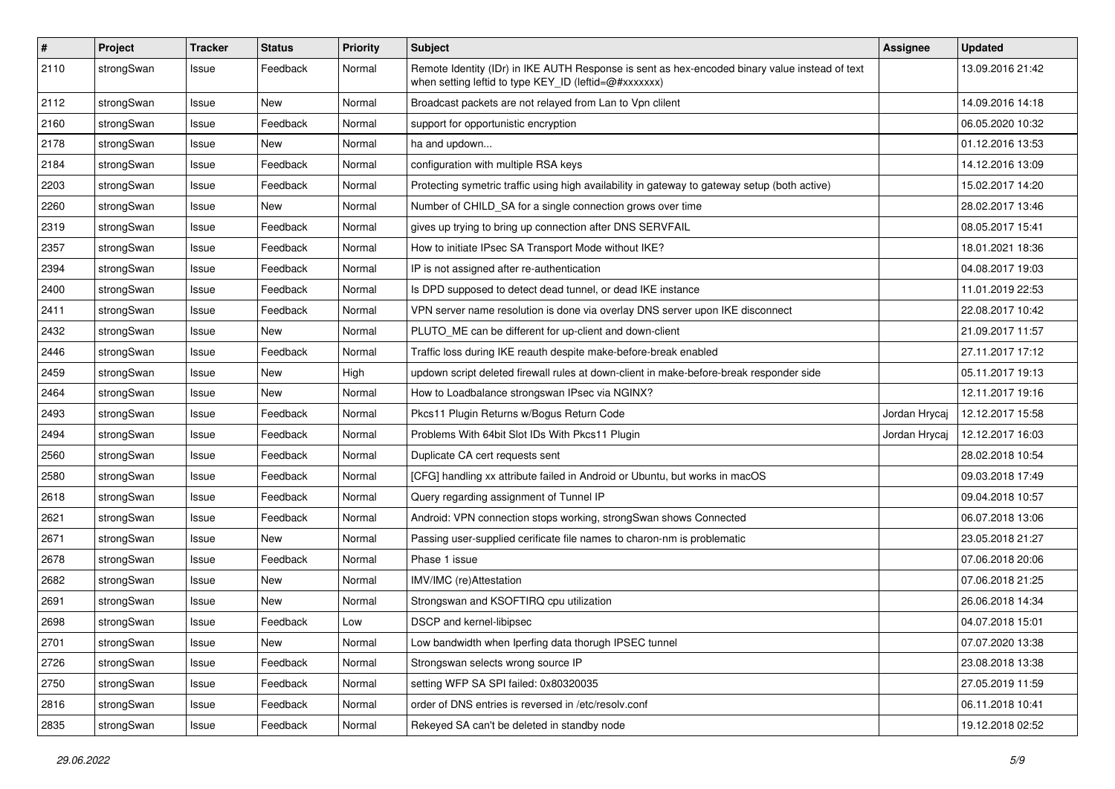| $\pmb{\#}$ | Project    | <b>Tracker</b> | <b>Status</b> | <b>Priority</b> | <b>Subject</b>                                                                                                                                          | <b>Assignee</b> | <b>Updated</b>   |
|------------|------------|----------------|---------------|-----------------|---------------------------------------------------------------------------------------------------------------------------------------------------------|-----------------|------------------|
| 2110       | strongSwan | Issue          | Feedback      | Normal          | Remote Identity (IDr) in IKE AUTH Response is sent as hex-encoded binary value instead of text<br>when setting leftid to type KEY ID (leftid=@#xxxxxxx) |                 | 13.09.2016 21:42 |
| 2112       | strongSwan | Issue          | New           | Normal          | Broadcast packets are not relayed from Lan to Vpn clilent                                                                                               |                 | 14.09.2016 14:18 |
| 2160       | strongSwan | Issue          | Feedback      | Normal          | support for opportunistic encryption                                                                                                                    |                 | 06.05.2020 10:32 |
| 2178       | strongSwan | Issue          | New           | Normal          | ha and updown                                                                                                                                           |                 | 01.12.2016 13:53 |
| 2184       | strongSwan | Issue          | Feedback      | Normal          | configuration with multiple RSA keys                                                                                                                    |                 | 14.12.2016 13:09 |
| 2203       | strongSwan | Issue          | Feedback      | Normal          | Protecting symetric traffic using high availability in gateway to gateway setup (both active)                                                           |                 | 15.02.2017 14:20 |
| 2260       | strongSwan | Issue          | New           | Normal          | Number of CHILD SA for a single connection grows over time                                                                                              |                 | 28.02.2017 13:46 |
| 2319       | strongSwan | Issue          | Feedback      | Normal          | gives up trying to bring up connection after DNS SERVFAIL                                                                                               |                 | 08.05.2017 15:41 |
| 2357       | strongSwan | Issue          | Feedback      | Normal          | How to initiate IPsec SA Transport Mode without IKE?                                                                                                    |                 | 18.01.2021 18:36 |
| 2394       | strongSwan | Issue          | Feedback      | Normal          | IP is not assigned after re-authentication                                                                                                              |                 | 04.08.2017 19:03 |
| 2400       | strongSwan | Issue          | Feedback      | Normal          | Is DPD supposed to detect dead tunnel, or dead IKE instance                                                                                             |                 | 11.01.2019 22:53 |
| 2411       | strongSwan | Issue          | Feedback      | Normal          | VPN server name resolution is done via overlay DNS server upon IKE disconnect                                                                           |                 | 22.08.2017 10:42 |
| 2432       | strongSwan | Issue          | New           | Normal          | PLUTO ME can be different for up-client and down-client                                                                                                 |                 | 21.09.2017 11:57 |
| 2446       | strongSwan | Issue          | Feedback      | Normal          | Traffic loss during IKE reauth despite make-before-break enabled                                                                                        |                 | 27.11.2017 17:12 |
| 2459       | strongSwan | Issue          | New           | High            | updown script deleted firewall rules at down-client in make-before-break responder side                                                                 |                 | 05.11.2017 19:13 |
| 2464       | strongSwan | Issue          | New           | Normal          | How to Loadbalance strongswan IPsec via NGINX?                                                                                                          |                 | 12.11.2017 19:16 |
| 2493       | strongSwan | Issue          | Feedback      | Normal          | Pkcs11 Plugin Returns w/Bogus Return Code                                                                                                               | Jordan Hrycaj   | 12.12.2017 15:58 |
| 2494       | strongSwan | Issue          | Feedback      | Normal          | Problems With 64bit Slot IDs With Pkcs11 Plugin                                                                                                         | Jordan Hrycaj   | 12.12.2017 16:03 |
| 2560       | strongSwan | Issue          | Feedback      | Normal          | Duplicate CA cert requests sent                                                                                                                         |                 | 28.02.2018 10:54 |
| 2580       | strongSwan | Issue          | Feedback      | Normal          | [CFG] handling xx attribute failed in Android or Ubuntu, but works in macOS                                                                             |                 | 09.03.2018 17:49 |
| 2618       | strongSwan | Issue          | Feedback      | Normal          | Query regarding assignment of Tunnel IP                                                                                                                 |                 | 09.04.2018 10:57 |
| 2621       | strongSwan | Issue          | Feedback      | Normal          | Android: VPN connection stops working, strongSwan shows Connected                                                                                       |                 | 06.07.2018 13:06 |
| 2671       | strongSwan | Issue          | New           | Normal          | Passing user-supplied cerificate file names to charon-nm is problematic                                                                                 |                 | 23.05.2018 21:27 |
| 2678       | strongSwan | Issue          | Feedback      | Normal          | Phase 1 issue                                                                                                                                           |                 | 07.06.2018 20:06 |
| 2682       | strongSwan | Issue          | New           | Normal          | IMV/IMC (re)Attestation                                                                                                                                 |                 | 07.06.2018 21:25 |
| 2691       | strongSwan | Issue          | New           | Normal          | Strongswan and KSOFTIRQ cpu utilization                                                                                                                 |                 | 26.06.2018 14:34 |
| 2698       | strongSwan | Issue          | Feedback      | Low             | DSCP and kernel-libipsec                                                                                                                                |                 | 04.07.2018 15:01 |
| 2701       | strongSwan | Issue          | New           | Normal          | Low bandwidth when Iperfing data thorugh IPSEC tunnel                                                                                                   |                 | 07.07.2020 13:38 |
| 2726       | strongSwan | Issue          | Feedback      | Normal          | Strongswan selects wrong source IP                                                                                                                      |                 | 23.08.2018 13:38 |
| 2750       | strongSwan | Issue          | Feedback      | Normal          | setting WFP SA SPI failed: 0x80320035                                                                                                                   |                 | 27.05.2019 11:59 |
| 2816       | strongSwan | Issue          | Feedback      | Normal          | order of DNS entries is reversed in /etc/resolv.conf                                                                                                    |                 | 06.11.2018 10:41 |
| 2835       | strongSwan | Issue          | Feedback      | Normal          | Rekeyed SA can't be deleted in standby node                                                                                                             |                 | 19.12.2018 02:52 |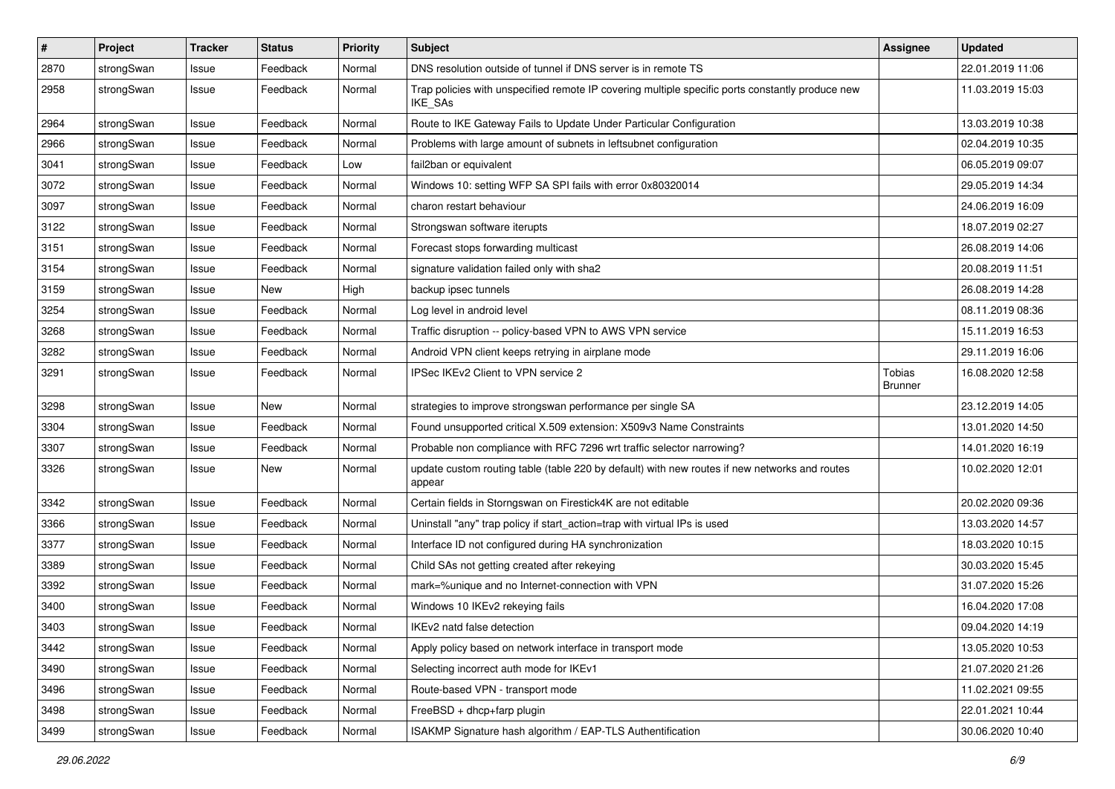| $\vert$ # | Project    | <b>Tracker</b> | <b>Status</b> | <b>Priority</b> | <b>Subject</b>                                                                                              | <b>Assignee</b>                 | <b>Updated</b>   |
|-----------|------------|----------------|---------------|-----------------|-------------------------------------------------------------------------------------------------------------|---------------------------------|------------------|
| 2870      | strongSwan | Issue          | Feedback      | Normal          | DNS resolution outside of tunnel if DNS server is in remote TS                                              |                                 | 22.01.2019 11:06 |
| 2958      | strongSwan | Issue          | Feedback      | Normal          | Trap policies with unspecified remote IP covering multiple specific ports constantly produce new<br>IKE_SAs |                                 | 11.03.2019 15:03 |
| 2964      | strongSwan | Issue          | Feedback      | Normal          | Route to IKE Gateway Fails to Update Under Particular Configuration                                         |                                 | 13.03.2019 10:38 |
| 2966      | strongSwan | Issue          | Feedback      | Normal          | Problems with large amount of subnets in leftsubnet configuration                                           |                                 | 02.04.2019 10:35 |
| 3041      | strongSwan | Issue          | Feedback      | Low             | fail2ban or equivalent                                                                                      |                                 | 06.05.2019 09:07 |
| 3072      | strongSwan | Issue          | Feedback      | Normal          | Windows 10: setting WFP SA SPI fails with error 0x80320014                                                  |                                 | 29.05.2019 14:34 |
| 3097      | strongSwan | Issue          | Feedback      | Normal          | charon restart behaviour                                                                                    |                                 | 24.06.2019 16:09 |
| 3122      | strongSwan | Issue          | Feedback      | Normal          | Strongswan software iterupts                                                                                |                                 | 18.07.2019 02:27 |
| 3151      | strongSwan | Issue          | Feedback      | Normal          | Forecast stops forwarding multicast                                                                         |                                 | 26.08.2019 14:06 |
| 3154      | strongSwan | Issue          | Feedback      | Normal          | signature validation failed only with sha2                                                                  |                                 | 20.08.2019 11:51 |
| 3159      | strongSwan | Issue          | New           | High            | backup ipsec tunnels                                                                                        |                                 | 26.08.2019 14:28 |
| 3254      | strongSwan | Issue          | Feedback      | Normal          | Log level in android level                                                                                  |                                 | 08.11.2019 08:36 |
| 3268      | strongSwan | Issue          | Feedback      | Normal          | Traffic disruption -- policy-based VPN to AWS VPN service                                                   |                                 | 15.11.2019 16:53 |
| 3282      | strongSwan | Issue          | Feedback      | Normal          | Android VPN client keeps retrying in airplane mode                                                          |                                 | 29.11.2019 16:06 |
| 3291      | strongSwan | Issue          | Feedback      | Normal          | IPSec IKEv2 Client to VPN service 2                                                                         | <b>Tobias</b><br><b>Brunner</b> | 16.08.2020 12:58 |
| 3298      | strongSwan | Issue          | New           | Normal          | strategies to improve strongswan performance per single SA                                                  |                                 | 23.12.2019 14:05 |
| 3304      | strongSwan | Issue          | Feedback      | Normal          | Found unsupported critical X.509 extension: X509v3 Name Constraints                                         |                                 | 13.01.2020 14:50 |
| 3307      | strongSwan | Issue          | Feedback      | Normal          | Probable non compliance with RFC 7296 wrt traffic selector narrowing?                                       |                                 | 14.01.2020 16:19 |
| 3326      | strongSwan | Issue          | New           | Normal          | update custom routing table (table 220 by default) with new routes if new networks and routes<br>appear     |                                 | 10.02.2020 12:01 |
| 3342      | strongSwan | Issue          | Feedback      | Normal          | Certain fields in Storngswan on Firestick4K are not editable                                                |                                 | 20.02.2020 09:36 |
| 3366      | strongSwan | Issue          | Feedback      | Normal          | Uninstall "any" trap policy if start_action=trap with virtual IPs is used                                   |                                 | 13.03.2020 14:57 |
| 3377      | strongSwan | Issue          | Feedback      | Normal          | Interface ID not configured during HA synchronization                                                       |                                 | 18.03.2020 10:15 |
| 3389      | strongSwan | Issue          | Feedback      | Normal          | Child SAs not getting created after rekeying                                                                |                                 | 30.03.2020 15:45 |
| 3392      | strongSwan | Issue          | Feedback      | Normal          | mark=%unique and no Internet-connection with VPN                                                            |                                 | 31.07.2020 15:26 |
| 3400      | strongSwan | Issue          | Feedback      | Normal          | Windows 10 IKEv2 rekeying fails                                                                             |                                 | 16.04.2020 17:08 |
| 3403      | strongSwan | Issue          | Feedback      | Normal          | IKEv2 natd false detection                                                                                  |                                 | 09.04.2020 14:19 |
| 3442      | strongSwan | Issue          | Feedback      | Normal          | Apply policy based on network interface in transport mode                                                   |                                 | 13.05.2020 10:53 |
| 3490      | strongSwan | Issue          | Feedback      | Normal          | Selecting incorrect auth mode for IKEv1                                                                     |                                 | 21.07.2020 21:26 |
| 3496      | strongSwan | Issue          | Feedback      | Normal          | Route-based VPN - transport mode                                                                            |                                 | 11.02.2021 09:55 |
| 3498      | strongSwan | Issue          | Feedback      | Normal          | FreeBSD + dhcp+farp plugin                                                                                  |                                 | 22.01.2021 10:44 |
| 3499      | strongSwan | Issue          | Feedback      | Normal          | ISAKMP Signature hash algorithm / EAP-TLS Authentification                                                  |                                 | 30.06.2020 10:40 |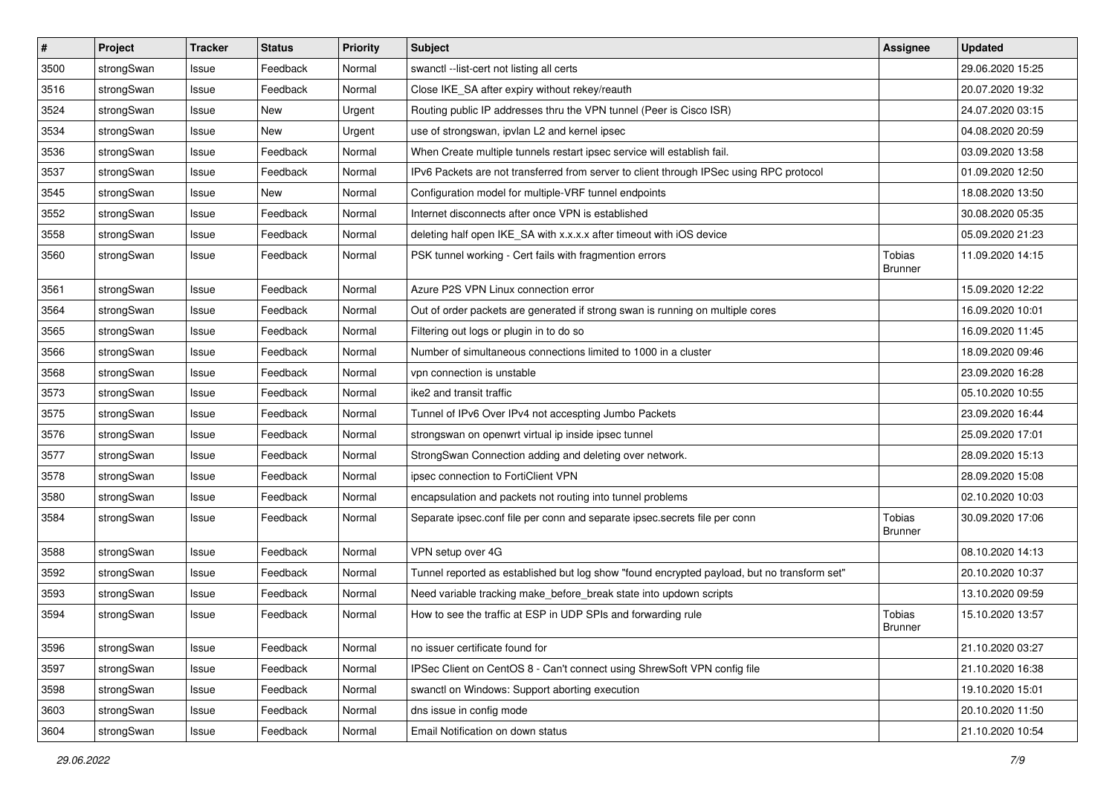| $\sharp$ | Project    | <b>Tracker</b> | <b>Status</b> | <b>Priority</b> | <b>Subject</b>                                                                              | <b>Assignee</b>          | <b>Updated</b>   |
|----------|------------|----------------|---------------|-----------------|---------------------------------------------------------------------------------------------|--------------------------|------------------|
| 3500     | strongSwan | Issue          | Feedback      | Normal          | swanctl --list-cert not listing all certs                                                   |                          | 29.06.2020 15:25 |
| 3516     | strongSwan | Issue          | Feedback      | Normal          | Close IKE_SA after expiry without rekey/reauth                                              |                          | 20.07.2020 19:32 |
| 3524     | strongSwan | Issue          | <b>New</b>    | Urgent          | Routing public IP addresses thru the VPN tunnel (Peer is Cisco ISR)                         |                          | 24.07.2020 03:15 |
| 3534     | strongSwan | Issue          | New           | Urgent          | use of strongswan, ipvlan L2 and kernel ipsec                                               |                          | 04.08.2020 20:59 |
| 3536     | strongSwan | Issue          | Feedback      | Normal          | When Create multiple tunnels restart ipsec service will establish fail.                     |                          | 03.09.2020 13:58 |
| 3537     | strongSwan | Issue          | Feedback      | Normal          | IPv6 Packets are not transferred from server to client through IPSec using RPC protocol     |                          | 01.09.2020 12:50 |
| 3545     | strongSwan | Issue          | New           | Normal          | Configuration model for multiple-VRF tunnel endpoints                                       |                          | 18.08.2020 13:50 |
| 3552     | strongSwan | Issue          | Feedback      | Normal          | Internet disconnects after once VPN is established                                          |                          | 30.08.2020 05:35 |
| 3558     | strongSwan | Issue          | Feedback      | Normal          | deleting half open IKE_SA with x.x.x.x after timeout with iOS device                        |                          | 05.09.2020 21:23 |
| 3560     | strongSwan | Issue          | Feedback      | Normal          | PSK tunnel working - Cert fails with fragmention errors                                     | Tobias<br><b>Brunner</b> | 11.09.2020 14:15 |
| 3561     | strongSwan | Issue          | Feedback      | Normal          | Azure P2S VPN Linux connection error                                                        |                          | 15.09.2020 12:22 |
| 3564     | strongSwan | Issue          | Feedback      | Normal          | Out of order packets are generated if strong swan is running on multiple cores              |                          | 16.09.2020 10:01 |
| 3565     | strongSwan | Issue          | Feedback      | Normal          | Filtering out logs or plugin in to do so                                                    |                          | 16.09.2020 11:45 |
| 3566     | strongSwan | Issue          | Feedback      | Normal          | Number of simultaneous connections limited to 1000 in a cluster                             |                          | 18.09.2020 09:46 |
| 3568     | strongSwan | Issue          | Feedback      | Normal          | vpn connection is unstable                                                                  |                          | 23.09.2020 16:28 |
| 3573     | strongSwan | Issue          | Feedback      | Normal          | ike2 and transit traffic                                                                    |                          | 05.10.2020 10:55 |
| 3575     | strongSwan | Issue          | Feedback      | Normal          | Tunnel of IPv6 Over IPv4 not accespting Jumbo Packets                                       |                          | 23.09.2020 16:44 |
| 3576     | strongSwan | Issue          | Feedback      | Normal          | strongswan on openwrt virtual ip inside ipsec tunnel                                        |                          | 25.09.2020 17:01 |
| 3577     | strongSwan | Issue          | Feedback      | Normal          | StrongSwan Connection adding and deleting over network.                                     |                          | 28.09.2020 15:13 |
| 3578     | strongSwan | Issue          | Feedback      | Normal          | ipsec connection to FortiClient VPN                                                         |                          | 28.09.2020 15:08 |
| 3580     | strongSwan | Issue          | Feedback      | Normal          | encapsulation and packets not routing into tunnel problems                                  |                          | 02.10.2020 10:03 |
| 3584     | strongSwan | Issue          | Feedback      | Normal          | Separate ipsec.conf file per conn and separate ipsec.secrets file per conn                  | Tobias<br><b>Brunner</b> | 30.09.2020 17:06 |
| 3588     | strongSwan | Issue          | Feedback      | Normal          | VPN setup over 4G                                                                           |                          | 08.10.2020 14:13 |
| 3592     | strongSwan | Issue          | Feedback      | Normal          | Tunnel reported as established but log show "found encrypted payload, but no transform set" |                          | 20.10.2020 10:37 |
| 3593     | strongSwan | Issue          | Feedback      | Normal          | Need variable tracking make_before_break state into updown scripts                          |                          | 13.10.2020 09:59 |
| 3594     | strongSwan | Issue          | Feedback      | Normal          | How to see the traffic at ESP in UDP SPIs and forwarding rule                               | Tobias<br><b>Brunner</b> | 15.10.2020 13:57 |
| 3596     | strongSwan | Issue          | Feedback      | Normal          | no issuer certificate found for                                                             |                          | 21.10.2020 03:27 |
| 3597     | strongSwan | Issue          | Feedback      | Normal          | IPSec Client on CentOS 8 - Can't connect using ShrewSoft VPN config file                    |                          | 21.10.2020 16:38 |
| 3598     | strongSwan | Issue          | Feedback      | Normal          | swanctl on Windows: Support aborting execution                                              |                          | 19.10.2020 15:01 |
| 3603     | strongSwan | Issue          | Feedback      | Normal          | dns issue in config mode                                                                    |                          | 20.10.2020 11:50 |
| 3604     | strongSwan | Issue          | Feedback      | Normal          | Email Notification on down status                                                           |                          | 21.10.2020 10:54 |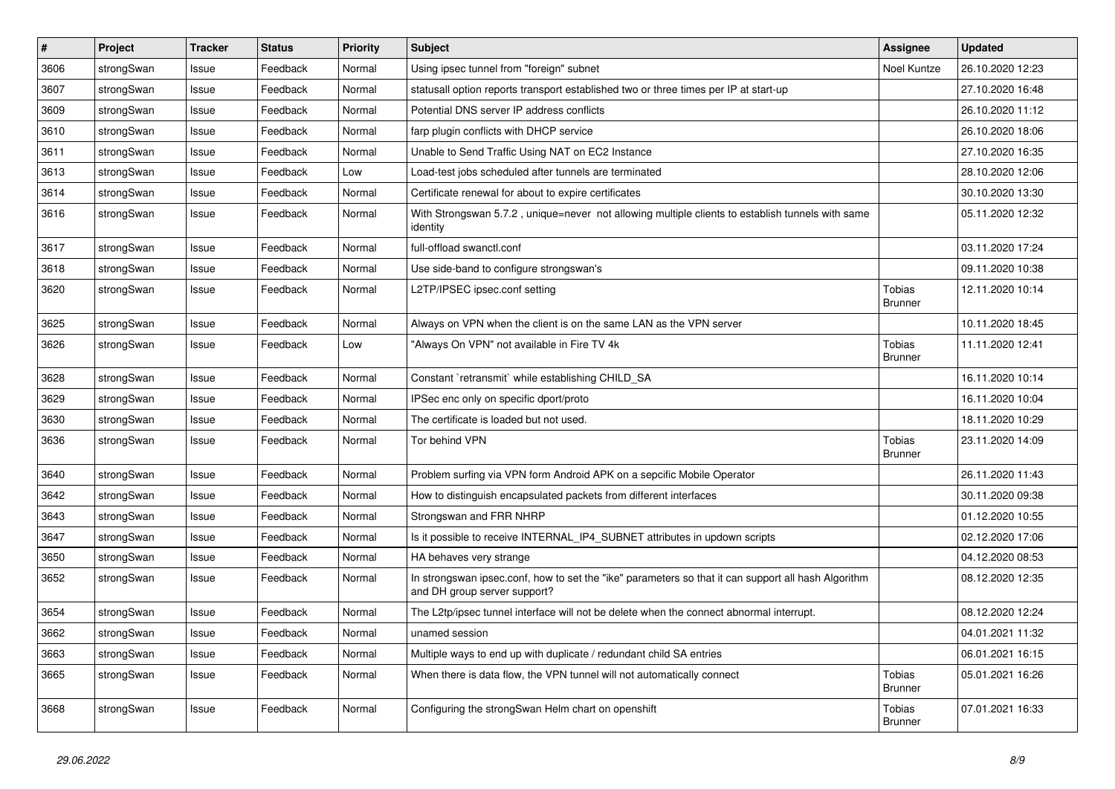| $\sharp$ | Project    | <b>Tracker</b> | <b>Status</b> | <b>Priority</b> | <b>Subject</b>                                                                                                                      | <b>Assignee</b>          | <b>Updated</b>   |
|----------|------------|----------------|---------------|-----------------|-------------------------------------------------------------------------------------------------------------------------------------|--------------------------|------------------|
| 3606     | strongSwan | Issue          | Feedback      | Normal          | Using ipsec tunnel from "foreign" subnet                                                                                            | Noel Kuntze              | 26.10.2020 12:23 |
| 3607     | strongSwan | Issue          | Feedback      | Normal          | statusall option reports transport established two or three times per IP at start-up                                                |                          | 27.10.2020 16:48 |
| 3609     | strongSwan | Issue          | Feedback      | Normal          | Potential DNS server IP address conflicts                                                                                           |                          | 26.10.2020 11:12 |
| 3610     | strongSwan | Issue          | Feedback      | Normal          | farp plugin conflicts with DHCP service                                                                                             |                          | 26.10.2020 18:06 |
| 3611     | strongSwan | Issue          | Feedback      | Normal          | Unable to Send Traffic Using NAT on EC2 Instance                                                                                    |                          | 27.10.2020 16:35 |
| 3613     | strongSwan | Issue          | Feedback      | Low             | Load-test jobs scheduled after tunnels are terminated                                                                               |                          | 28.10.2020 12:06 |
| 3614     | strongSwan | Issue          | Feedback      | Normal          | Certificate renewal for about to expire certificates                                                                                |                          | 30.10.2020 13:30 |
| 3616     | strongSwan | Issue          | Feedback      | Normal          | With Strongswan 5.7.2, unique=never not allowing multiple clients to establish tunnels with same<br>identity                        |                          | 05.11.2020 12:32 |
| 3617     | strongSwan | Issue          | Feedback      | Normal          | full-offload swanctl.conf                                                                                                           |                          | 03.11.2020 17:24 |
| 3618     | strongSwan | Issue          | Feedback      | Normal          | Use side-band to configure strongswan's                                                                                             |                          | 09.11.2020 10:38 |
| 3620     | strongSwan | Issue          | Feedback      | Normal          | L2TP/IPSEC ipsec.conf setting                                                                                                       | Tobias<br><b>Brunner</b> | 12.11.2020 10:14 |
| 3625     | strongSwan | Issue          | Feedback      | Normal          | Always on VPN when the client is on the same LAN as the VPN server                                                                  |                          | 10.11.2020 18:45 |
| 3626     | strongSwan | Issue          | Feedback      | Low             | "Always On VPN" not available in Fire TV 4k                                                                                         | Tobias<br>Brunner        | 11.11.2020 12:41 |
| 3628     | strongSwan | Issue          | Feedback      | Normal          | Constant `retransmit` while establishing CHILD_SA                                                                                   |                          | 16.11.2020 10:14 |
| 3629     | strongSwan | Issue          | Feedback      | Normal          | IPSec enc only on specific dport/proto                                                                                              |                          | 16.11.2020 10:04 |
| 3630     | strongSwan | Issue          | Feedback      | Normal          | The certificate is loaded but not used.                                                                                             |                          | 18.11.2020 10:29 |
| 3636     | strongSwan | Issue          | Feedback      | Normal          | Tor behind VPN                                                                                                                      | Tobias<br><b>Brunner</b> | 23.11.2020 14:09 |
| 3640     | strongSwan | Issue          | Feedback      | Normal          | Problem surfing via VPN form Android APK on a sepcific Mobile Operator                                                              |                          | 26.11.2020 11:43 |
| 3642     | strongSwan | Issue          | Feedback      | Normal          | How to distinguish encapsulated packets from different interfaces                                                                   |                          | 30.11.2020 09:38 |
| 3643     | strongSwan | Issue          | Feedback      | Normal          | Strongswan and FRR NHRP                                                                                                             |                          | 01.12.2020 10:55 |
| 3647     | strongSwan | Issue          | Feedback      | Normal          | Is it possible to receive INTERNAL_IP4_SUBNET attributes in updown scripts                                                          |                          | 02.12.2020 17:06 |
| 3650     | strongSwan | Issue          | Feedback      | Normal          | HA behaves very strange                                                                                                             |                          | 04.12.2020 08:53 |
| 3652     | strongSwan | Issue          | Feedback      | Normal          | In strongswan ipsec.conf, how to set the "ike" parameters so that it can support all hash Algorithm<br>and DH group server support? |                          | 08.12.2020 12:35 |
| 3654     | strongSwan | Issue          | Feedback      | Normal          | The L2tp/ipsec tunnel interface will not be delete when the connect abnormal interrupt.                                             |                          | 08.12.2020 12:24 |
| 3662     | strongSwan | Issue          | Feedback      | Normal          | unamed session                                                                                                                      |                          | 04.01.2021 11:32 |
| 3663     | strongSwan | Issue          | Feedback      | Normal          | Multiple ways to end up with duplicate / redundant child SA entries                                                                 |                          | 06.01.2021 16:15 |
| 3665     | strongSwan | Issue          | Feedback      | Normal          | When there is data flow, the VPN tunnel will not automatically connect                                                              | Tobias<br><b>Brunner</b> | 05.01.2021 16:26 |
| 3668     | strongSwan | Issue          | Feedback      | Normal          | Configuring the strongSwan Helm chart on openshift                                                                                  | Tobias<br>Brunner        | 07.01.2021 16:33 |